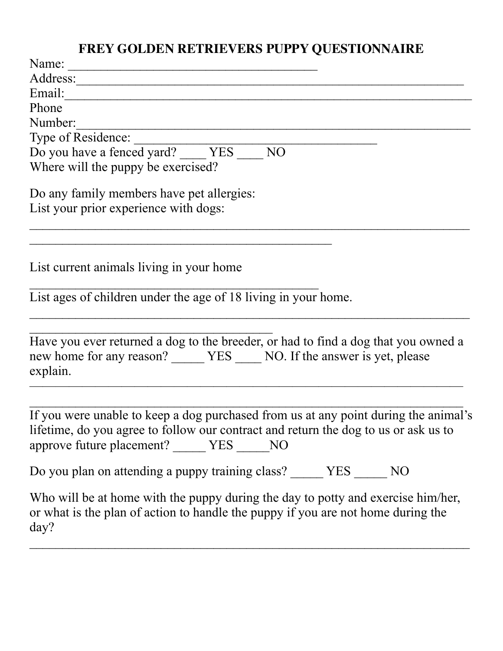## **FREY GOLDEN RETRIEVERS PUPPY QUESTIONNAIRE**

| Name:                                                                                                                                                                                                                      |
|----------------------------------------------------------------------------------------------------------------------------------------------------------------------------------------------------------------------------|
| Address:                                                                                                                                                                                                                   |
| Email:                                                                                                                                                                                                                     |
| Phone                                                                                                                                                                                                                      |
| Number:                                                                                                                                                                                                                    |
| Type of Residence:                                                                                                                                                                                                         |
| Do you have a fenced yard? VES NO                                                                                                                                                                                          |
| Where will the puppy be exercised?                                                                                                                                                                                         |
| Do any family members have pet allergies:                                                                                                                                                                                  |
| List your prior experience with dogs:                                                                                                                                                                                      |
| List current animals living in your home<br>List ages of children under the age of 18 living in your home.                                                                                                                 |
| Have you ever returned a dog to the breeder, or had to find a dog that you owned a<br>new home for any reason? YES NO. If the answer is yet, please                                                                        |
| explain.                                                                                                                                                                                                                   |
| If you were unable to keep a dog purchased from us at any point during the animal's<br>lifetime, do you agree to follow our contract and return the dog to us or ask us to<br>approve future placement? _____ YES _____ NO |
| Do you plan on attending a puppy training class? _____ YES _____ NO                                                                                                                                                        |
| Who will be at home with the puppy during the day to potty and exercise him/her,<br>or what is the plan of action to handle the puppy if you are not home during the<br>day?                                               |
|                                                                                                                                                                                                                            |